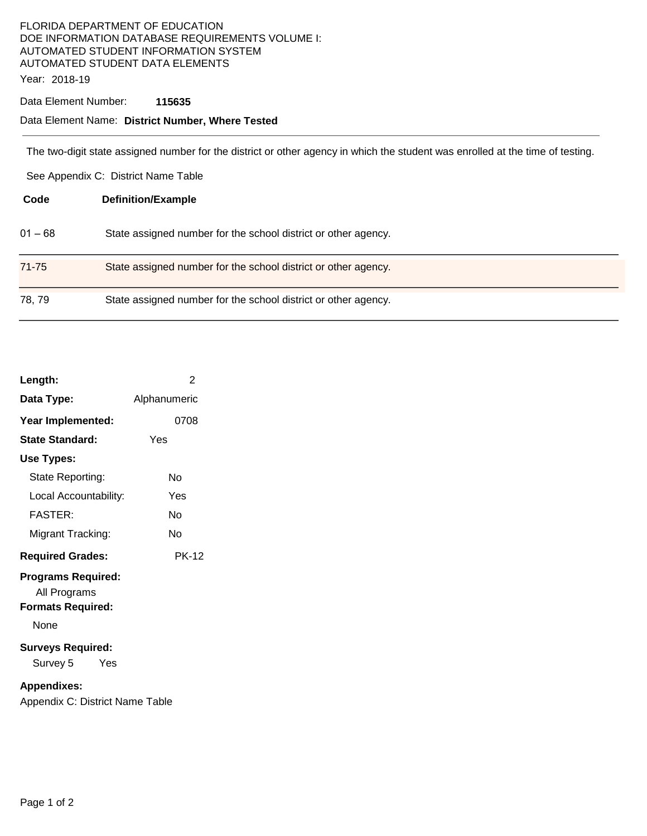### FLORIDA DEPARTMENT OF EDUCATION DOE INFORMATION DATABASE REQUIREMENTS VOLUME I: AUTOMATED STUDENT INFORMATION SYSTEM AUTOMATED STUDENT DATA ELEMENTS Year: 2018-19

#### Data Element Number: **115635**

## Data Element Name: **District Number, Where Tested**

The two-digit state assigned number for the district or other agency in which the student was enrolled at the time of testing.

See Appendix C: District Name Table

| Code      | <b>Definition/Example</b>                                      |
|-----------|----------------------------------------------------------------|
| $01 - 68$ | State assigned number for the school district or other agency. |
| 71-75     | State assigned number for the school district or other agency. |
| 78, 79    | State assigned number for the school district or other agency. |

| Length:                                                                       | 2            |  |  |
|-------------------------------------------------------------------------------|--------------|--|--|
| Data Type:                                                                    | Alphanumeric |  |  |
| Year Implemented:                                                             | 0708         |  |  |
| <b>State Standard:</b>                                                        | Yes          |  |  |
| Use Types:                                                                    |              |  |  |
| State Reporting:                                                              | N٥           |  |  |
| Local Accountability:                                                         | Yes          |  |  |
| <b>FASTER:</b>                                                                | N٥           |  |  |
| Migrant Tracking:                                                             | N٥           |  |  |
| <b>Required Grades:</b>                                                       | PK-12        |  |  |
| <b>Programs Required:</b><br>All Programs<br><b>Formats Required:</b><br>None |              |  |  |
| <b>Surveys Required:</b><br>Survey 5<br>Yes                                   |              |  |  |
| <b>Appendixes:</b>                                                            |              |  |  |

Appendix C: District Name Table